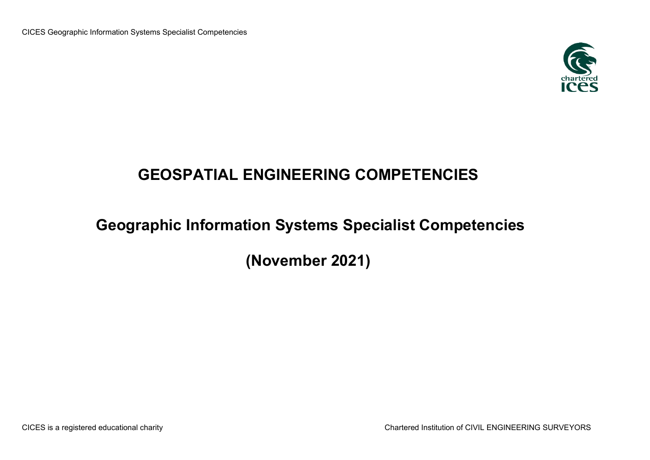

## **GEOSPATIAL ENGINEERING COMPETENCIES**

## **Geographic Information Systems Specialist Competencies**

**(November 2021)**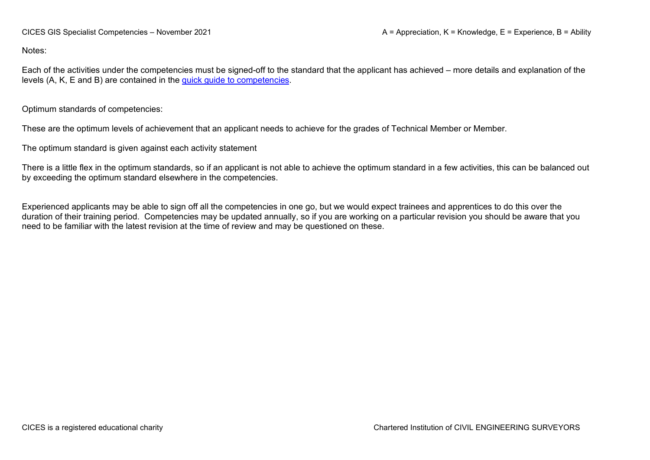Notes:

Each of the activities under the competencies must be signed-off to the standard that the applicant has achieved – more details and explanation of the levels (A, K, E and B) are contained in the [quick guide to competencies.](https://www.cices.org/content/uploads/2021/08/Quick-Guide-to-Competencies.pdf)

Optimum standards of competencies:

These are the optimum levels of achievement that an applicant needs to achieve for the grades of Technical Member or Member.

The optimum standard is given against each activity statement

There is a little flex in the optimum standards, so if an applicant is not able to achieve the optimum standard in a few activities, this can be balanced out by exceeding the optimum standard elsewhere in the competencies.

Experienced applicants may be able to sign off all the competencies in one go, but we would expect trainees and apprentices to do this over the duration of their training period. Competencies may be updated annually, so if you are working on a particular revision you should be aware that you need to be familiar with the latest revision at the time of review and may be questioned on these.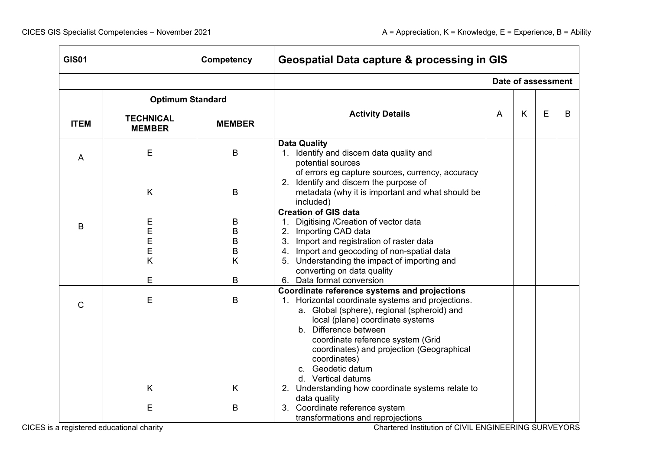| <b>GIS01</b> |                                   | <b>Competency</b>     | <b>Geospatial Data capture &amp; processing in GIS</b>                                                                                                                                                                                                                                                                                                     |   |                    |             |   |  |
|--------------|-----------------------------------|-----------------------|------------------------------------------------------------------------------------------------------------------------------------------------------------------------------------------------------------------------------------------------------------------------------------------------------------------------------------------------------------|---|--------------------|-------------|---|--|
|              |                                   |                       |                                                                                                                                                                                                                                                                                                                                                            |   | Date of assessment |             |   |  |
|              | <b>Optimum Standard</b>           |                       |                                                                                                                                                                                                                                                                                                                                                            |   |                    |             |   |  |
| <b>ITEM</b>  | <b>TECHNICAL</b><br><b>MEMBER</b> | <b>MEMBER</b>         | <b>Activity Details</b>                                                                                                                                                                                                                                                                                                                                    | A | K                  | $\mathsf E$ | B |  |
| A            | E                                 | B                     | <b>Data Quality</b><br>1. Identify and discern data quality and<br>potential sources                                                                                                                                                                                                                                                                       |   |                    |             |   |  |
|              | K                                 | $\sf B$               | of errors eg capture sources, currency, accuracy<br>2. Identify and discern the purpose of<br>metadata (why it is important and what should be<br>included)                                                                                                                                                                                                |   |                    |             |   |  |
| B            | E<br>E<br>E<br>Е<br>K             | B<br>B<br>B<br>Β<br>Κ | <b>Creation of GIS data</b><br>Digitising / Creation of vector data<br>2. Importing CAD data<br>3. Import and registration of raster data<br>4. Import and geocoding of non-spatial data<br>5. Understanding the impact of importing and<br>converting on data quality                                                                                     |   |                    |             |   |  |
|              | Е                                 | B                     | 6. Data format conversion                                                                                                                                                                                                                                                                                                                                  |   |                    |             |   |  |
| $\mathsf{C}$ | Е                                 | B                     | Coordinate reference systems and projections<br>1. Horizontal coordinate systems and projections.<br>a. Global (sphere), regional (spheroid) and<br>local (plane) coordinate systems<br>b. Difference between<br>coordinate reference system (Grid<br>coordinates) and projection (Geographical<br>coordinates)<br>c. Geodetic datum<br>d. Vertical datums |   |                    |             |   |  |
|              | K                                 | K                     | 2. Understanding how coordinate systems relate to<br>data quality                                                                                                                                                                                                                                                                                          |   |                    |             |   |  |
|              | Е                                 | B                     | 3. Coordinate reference system<br>transformations and reprojections                                                                                                                                                                                                                                                                                        |   |                    |             |   |  |

CICES is a registered educational charity Chartered Institution of CIVIL ENGINEERING SURVEYORS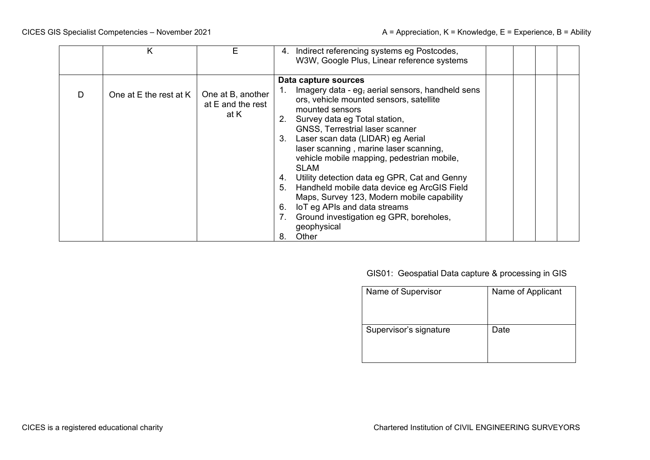|    | ĸ                      | E.                                             |                                        | 4. Indirect referencing systems eg Postcodes,<br>W3W, Google Plus, Linear reference systems                                                                                                                                                                                                                                                                                                                                                                                                                                                                                           |  |  |
|----|------------------------|------------------------------------------------|----------------------------------------|---------------------------------------------------------------------------------------------------------------------------------------------------------------------------------------------------------------------------------------------------------------------------------------------------------------------------------------------------------------------------------------------------------------------------------------------------------------------------------------------------------------------------------------------------------------------------------------|--|--|
|    |                        |                                                |                                        | Data capture sources                                                                                                                                                                                                                                                                                                                                                                                                                                                                                                                                                                  |  |  |
| D. | One at E the rest at K | One at B, another<br>at E and the rest<br>at K | 2.<br>3.<br>4.<br>5.<br>6.<br>7.<br>8. | Imagery data - eg, aerial sensors, handheld sens<br>ors, vehicle mounted sensors, satellite<br>mounted sensors<br>Survey data eg Total station,<br><b>GNSS, Terrestrial laser scanner</b><br>Laser scan data (LIDAR) eg Aerial<br>laser scanning, marine laser scanning,<br>vehicle mobile mapping, pedestrian mobile,<br><b>SLAM</b><br>Utility detection data eg GPR, Cat and Genny<br>Handheld mobile data device eg ArcGIS Field<br>Maps, Survey 123, Modern mobile capability<br>IoT eg APIs and data streams<br>Ground investigation eg GPR, boreholes,<br>geophysical<br>Other |  |  |

## GIS01: Geospatial Data capture & processing in GIS

| Name of Supervisor     | Name of Applicant |
|------------------------|-------------------|
| Supervisor's signature | Date              |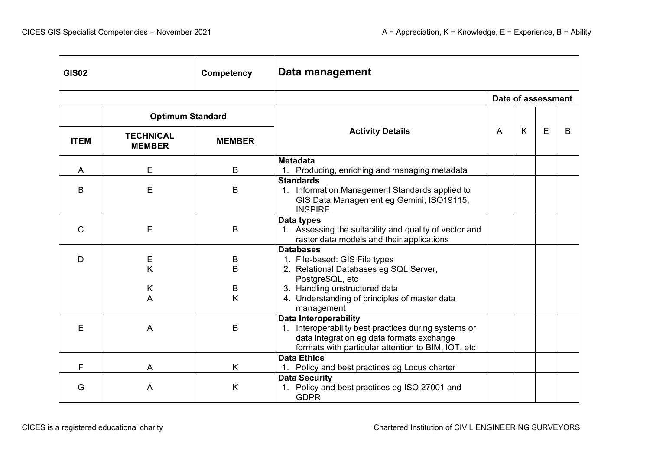| <b>GIS02</b><br>Competency |                                   |               | Data management                                                                                                                                                                         |   |   |                    |   |  |  |
|----------------------------|-----------------------------------|---------------|-----------------------------------------------------------------------------------------------------------------------------------------------------------------------------------------|---|---|--------------------|---|--|--|
|                            |                                   |               |                                                                                                                                                                                         |   |   | Date of assessment |   |  |  |
|                            | <b>Optimum Standard</b>           |               |                                                                                                                                                                                         |   |   |                    |   |  |  |
| <b>ITEM</b>                | <b>TECHNICAL</b><br><b>MEMBER</b> | <b>MEMBER</b> | <b>Activity Details</b>                                                                                                                                                                 | A | K | E                  | B |  |  |
| A                          | E                                 | B             | <b>Metadata</b><br>1. Producing, enriching and managing metadata                                                                                                                        |   |   |                    |   |  |  |
| B                          | E                                 | B             | <b>Standards</b><br>1. Information Management Standards applied to<br>GIS Data Management eg Gemini, ISO19115,<br><b>INSPIRE</b>                                                        |   |   |                    |   |  |  |
| C                          | E                                 | B             | Data types<br>1. Assessing the suitability and quality of vector and<br>raster data models and their applications                                                                       |   |   |                    |   |  |  |
| D                          | Е<br>K                            | B<br>B        | <b>Databases</b><br>1. File-based: GIS File types<br>2. Relational Databases eg SQL Server,                                                                                             |   |   |                    |   |  |  |
|                            | K<br>A                            | B<br>K        | PostgreSQL, etc<br>3. Handling unstructured data<br>4. Understanding of principles of master data<br>management                                                                         |   |   |                    |   |  |  |
| E                          | $\overline{A}$                    | B             | <b>Data Interoperability</b><br>1. Interoperability best practices during systems or<br>data integration eg data formats exchange<br>formats with particular attention to BIM, IOT, etc |   |   |                    |   |  |  |
| F                          | A                                 | K             | <b>Data Ethics</b><br>1. Policy and best practices eg Locus charter                                                                                                                     |   |   |                    |   |  |  |
| G                          | A                                 | K             | <b>Data Security</b><br>1. Policy and best practices eg ISO 27001 and<br><b>GDPR</b>                                                                                                    |   |   |                    |   |  |  |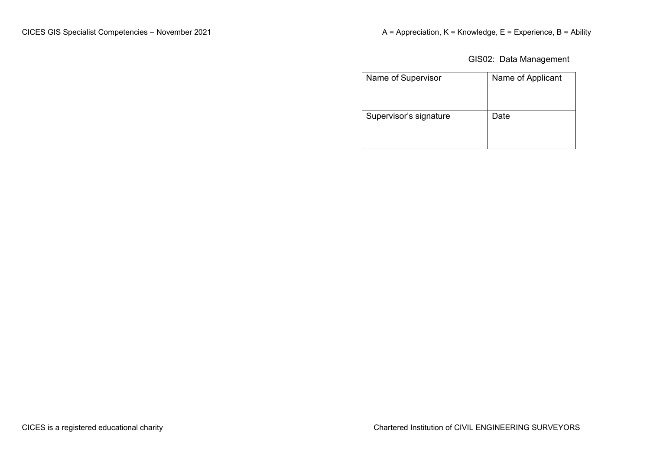GIS02: Data Management

| Name of Supervisor     | Name of Applicant |
|------------------------|-------------------|
| Supervisor's signature | Date              |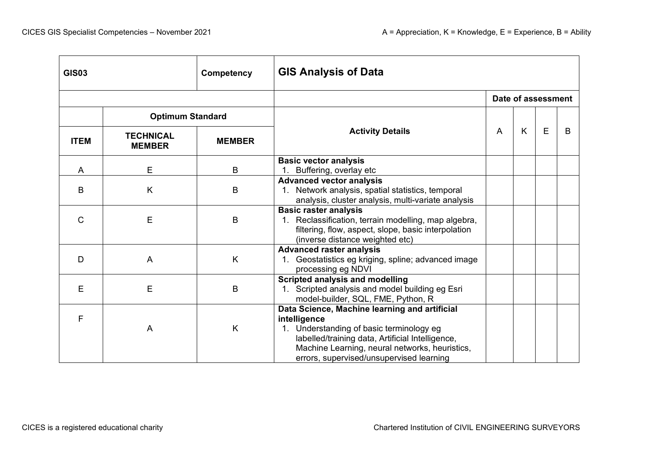| <b>GIS03</b><br>Competency |                                   |               | <b>GIS Analysis of Data</b>                                                                                                                                                                                                                                 |  |                    |   |   |  |  |
|----------------------------|-----------------------------------|---------------|-------------------------------------------------------------------------------------------------------------------------------------------------------------------------------------------------------------------------------------------------------------|--|--------------------|---|---|--|--|
|                            |                                   |               |                                                                                                                                                                                                                                                             |  | Date of assessment |   |   |  |  |
|                            | <b>Optimum Standard</b>           |               |                                                                                                                                                                                                                                                             |  |                    |   |   |  |  |
| <b>ITEM</b>                | <b>TECHNICAL</b><br><b>MEMBER</b> | <b>MEMBER</b> | <b>Activity Details</b>                                                                                                                                                                                                                                     |  | K                  | E | B |  |  |
| A                          | E                                 | B             | <b>Basic vector analysis</b><br>1. Buffering, overlay etc                                                                                                                                                                                                   |  |                    |   |   |  |  |
| B                          | K                                 | B             | <b>Advanced vector analysis</b><br>1. Network analysis, spatial statistics, temporal<br>analysis, cluster analysis, multi-variate analysis                                                                                                                  |  |                    |   |   |  |  |
| $\mathsf{C}$               | E                                 | B             | <b>Basic raster analysis</b><br>1. Reclassification, terrain modelling, map algebra,<br>filtering, flow, aspect, slope, basic interpolation<br>(inverse distance weighted etc)                                                                              |  |                    |   |   |  |  |
| D                          | A                                 | K             | <b>Advanced raster analysis</b><br>1. Geostatistics eg kriging, spline; advanced image<br>processing eg NDVI                                                                                                                                                |  |                    |   |   |  |  |
| E                          | E                                 | B             | <b>Scripted analysis and modelling</b><br>1. Scripted analysis and model building eg Esri<br>model-builder, SQL, FME, Python, R                                                                                                                             |  |                    |   |   |  |  |
| F                          | A                                 | K             | Data Science, Machine learning and artificial<br>intelligence<br>1. Understanding of basic terminology eg<br>labelled/training data, Artificial Intelligence,<br>Machine Learning, neural networks, heuristics,<br>errors, supervised/unsupervised learning |  |                    |   |   |  |  |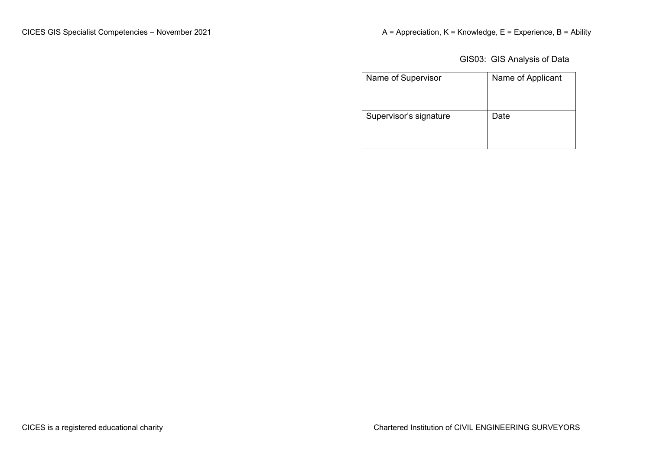GIS03: GIS Analysis of Data

| Name of Supervisor     | Name of Applicant |
|------------------------|-------------------|
| Supervisor's signature | Date              |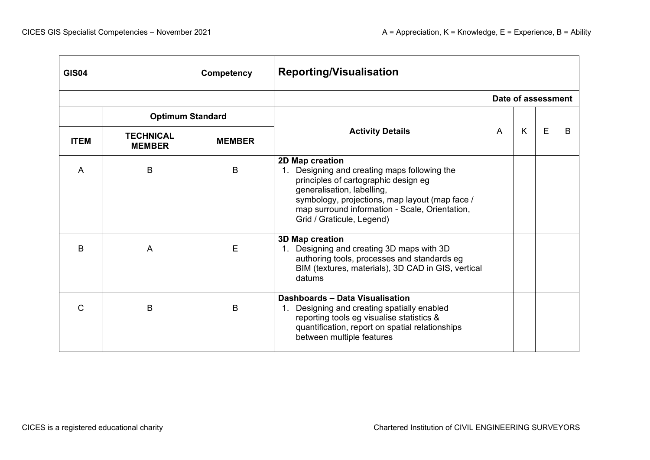| <b>GIS04</b><br>Competency |                                   |               | <b>Reporting/Visualisation</b>                                                                                                                                                                                                                                                     |   |                    |   |   |  |
|----------------------------|-----------------------------------|---------------|------------------------------------------------------------------------------------------------------------------------------------------------------------------------------------------------------------------------------------------------------------------------------------|---|--------------------|---|---|--|
|                            |                                   |               |                                                                                                                                                                                                                                                                                    |   | Date of assessment |   |   |  |
|                            | <b>Optimum Standard</b>           |               |                                                                                                                                                                                                                                                                                    |   |                    |   |   |  |
| <b>ITEM</b>                | <b>TECHNICAL</b><br><b>MEMBER</b> | <b>MEMBER</b> | <b>Activity Details</b>                                                                                                                                                                                                                                                            | A | K                  | E | B |  |
| A                          | B                                 | B             | 2D Map creation<br>Designing and creating maps following the<br>$1_{\cdot}$<br>principles of cartographic design eg<br>generalisation, labelling,<br>symbology, projections, map layout (map face /<br>map surround information - Scale, Orientation,<br>Grid / Graticule, Legend) |   |                    |   |   |  |
| B                          | A                                 | E             | 3D Map creation<br>1. Designing and creating 3D maps with 3D<br>authoring tools, processes and standards eg<br>BIM (textures, materials), 3D CAD in GIS, vertical<br>datums                                                                                                        |   |                    |   |   |  |
| C                          | B                                 | B             | Dashboards - Data Visualisation<br>1. Designing and creating spatially enabled<br>reporting tools eg visualise statistics &<br>quantification, report on spatial relationships<br>between multiple features                                                                        |   |                    |   |   |  |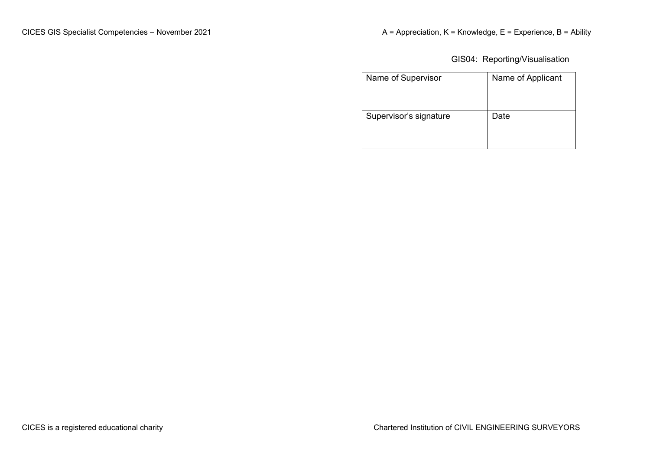GIS04: Reporting/Visualisation

| Name of Supervisor     | Name of Applicant |
|------------------------|-------------------|
| Supervisor's signature | Date              |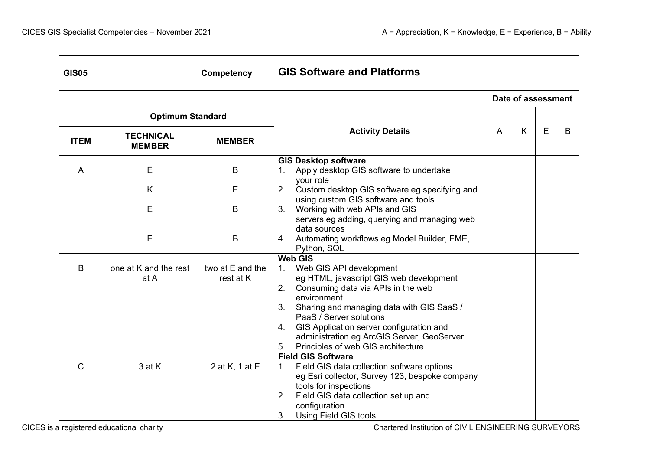| <b>GIS05</b><br>Competency |                                   |                               | <b>GIS Software and Platforms</b>                                                                                                                                                                                                                                                                                                                                            |  |   |                    |   |  |
|----------------------------|-----------------------------------|-------------------------------|------------------------------------------------------------------------------------------------------------------------------------------------------------------------------------------------------------------------------------------------------------------------------------------------------------------------------------------------------------------------------|--|---|--------------------|---|--|
|                            |                                   |                               |                                                                                                                                                                                                                                                                                                                                                                              |  |   | Date of assessment |   |  |
|                            | <b>Optimum Standard</b>           |                               |                                                                                                                                                                                                                                                                                                                                                                              |  |   |                    |   |  |
| <b>ITEM</b>                | <b>TECHNICAL</b><br><b>MEMBER</b> | <b>MEMBER</b>                 | <b>Activity Details</b>                                                                                                                                                                                                                                                                                                                                                      |  | K | E                  | B |  |
| A                          | Е                                 | B                             | <b>GIS Desktop software</b><br>Apply desktop GIS software to undertake<br>1.<br>your role                                                                                                                                                                                                                                                                                    |  |   |                    |   |  |
|                            | K                                 | Е                             | Custom desktop GIS software eg specifying and<br>2.<br>using custom GIS software and tools                                                                                                                                                                                                                                                                                   |  |   |                    |   |  |
|                            | E                                 | B                             | 3 <sub>1</sub><br>Working with web APIs and GIS<br>servers eg adding, querying and managing web<br>data sources                                                                                                                                                                                                                                                              |  |   |                    |   |  |
|                            | E                                 | B                             | Automating workflows eg Model Builder, FME,<br>4.<br>Python, SQL                                                                                                                                                                                                                                                                                                             |  |   |                    |   |  |
| B                          | one at K and the rest<br>at A     | two at E and the<br>rest at K | <b>Web GIS</b><br>1. Web GIS API development<br>eg HTML, javascript GIS web development<br>Consuming data via APIs in the web<br>2.<br>environment<br>Sharing and managing data with GIS SaaS /<br>3.<br>PaaS / Server solutions<br>GIS Application server configuration and<br>4.<br>administration eg ArcGIS Server, GeoServer<br>Principles of web GIS architecture<br>5. |  |   |                    |   |  |
| C                          | 3 at K                            | 2 at K, 1 at E                | <b>Field GIS Software</b><br>Field GIS data collection software options<br>$1_{\cdot}$<br>eg Esri collector, Survey 123, bespoke company<br>tools for inspections<br>Field GIS data collection set up and<br>2.<br>configuration.<br>3.<br>Using Field GIS tools                                                                                                             |  |   |                    |   |  |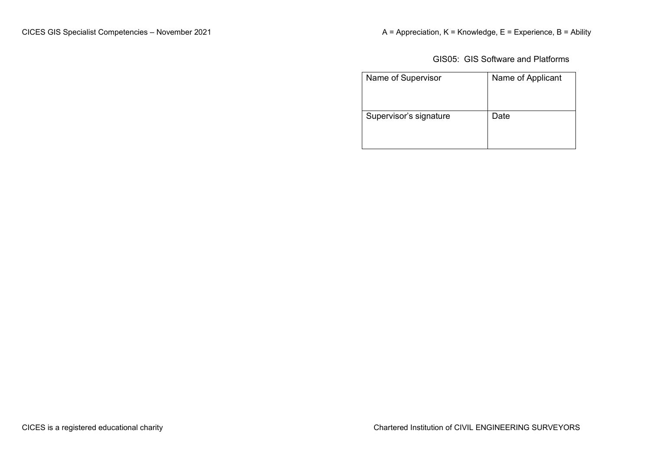GIS05: GIS Software and Platforms

| Name of Supervisor     | Name of Applicant |
|------------------------|-------------------|
| Supervisor's signature | Date              |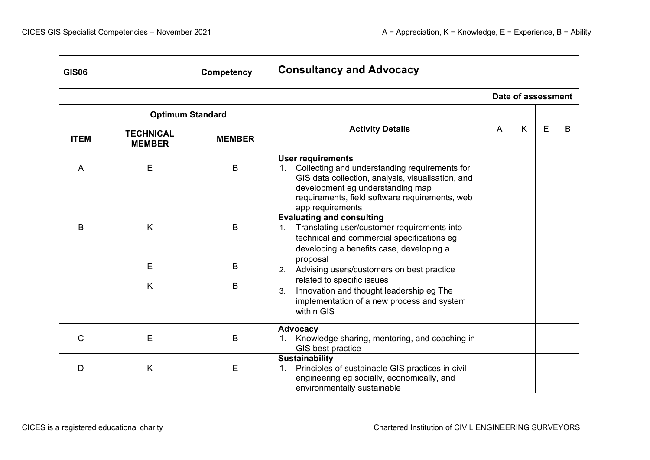| <b>GIS06</b><br>Competency |                                   |               | <b>Consultancy and Advocacy</b>                                                                                                                                                                                                                |   |   |                    |   |  |
|----------------------------|-----------------------------------|---------------|------------------------------------------------------------------------------------------------------------------------------------------------------------------------------------------------------------------------------------------------|---|---|--------------------|---|--|
|                            |                                   |               |                                                                                                                                                                                                                                                |   |   | Date of assessment |   |  |
|                            | <b>Optimum Standard</b>           |               |                                                                                                                                                                                                                                                |   |   |                    |   |  |
| <b>ITEM</b>                | <b>TECHNICAL</b><br><b>MEMBER</b> | <b>MEMBER</b> | <b>Activity Details</b>                                                                                                                                                                                                                        | A | K | E                  | B |  |
| A                          | E                                 | B             | <b>User requirements</b><br>Collecting and understanding requirements for<br>1.<br>GIS data collection, analysis, visualisation, and<br>development eg understanding map<br>requirements, field software requirements, web<br>app requirements |   |   |                    |   |  |
| B                          | K                                 | B             | <b>Evaluating and consulting</b><br>Translating user/customer requirements into<br>$\mathbf{1}$ .<br>technical and commercial specifications eg<br>developing a benefits case, developing a                                                    |   |   |                    |   |  |
|                            | E                                 | B             | proposal<br>Advising users/customers on best practice<br>2.                                                                                                                                                                                    |   |   |                    |   |  |
|                            | K                                 | B             | related to specific issues<br>Innovation and thought leadership eg The<br>3.<br>implementation of a new process and system<br>within GIS                                                                                                       |   |   |                    |   |  |
| $\mathsf{C}$               | E                                 | B             | Advocacy<br>Knowledge sharing, mentoring, and coaching in<br>$1_{\cdot}$<br>GIS best practice                                                                                                                                                  |   |   |                    |   |  |
| D                          | K                                 | E             | <b>Sustainability</b><br>Principles of sustainable GIS practices in civil<br>$\mathbf{1}$ .<br>engineering eg socially, economically, and<br>environmentally sustainable                                                                       |   |   |                    |   |  |